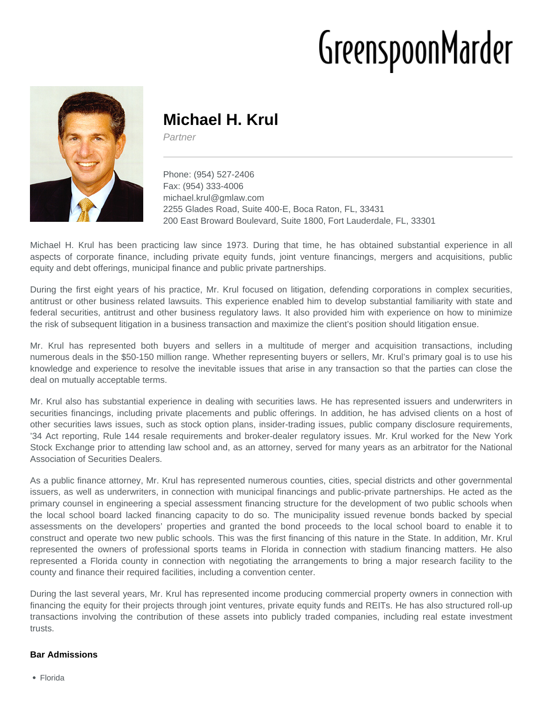# GreenspoonMarder



# **Michael H. Krul**

Partner

Phone: (954) 527-2406 Fax: (954) 333-4006 michael.krul@gmlaw.com 2255 Glades Road, Suite 400-E, Boca Raton, FL, 33431 200 East Broward Boulevard, Suite 1800, Fort Lauderdale, FL, 33301

Michael H. Krul has been practicing law since 1973. During that time, he has obtained substantial experience in all aspects of corporate finance, including private equity funds, joint venture financings, mergers and acquisitions, public equity and debt offerings, municipal finance and public private partnerships.

During the first eight years of his practice, Mr. Krul focused on litigation, defending corporations in complex securities, antitrust or other business related lawsuits. This experience enabled him to develop substantial familiarity with state and federal securities, antitrust and other business regulatory laws. It also provided him with experience on how to minimize the risk of subsequent litigation in a business transaction and maximize the client's position should litigation ensue.

Mr. Krul has represented both buyers and sellers in a multitude of merger and acquisition transactions, including numerous deals in the \$50-150 million range. Whether representing buyers or sellers, Mr. Krul's primary goal is to use his knowledge and experience to resolve the inevitable issues that arise in any transaction so that the parties can close the deal on mutually acceptable terms.

Mr. Krul also has substantial experience in dealing with securities laws. He has represented issuers and underwriters in securities financings, including private placements and public offerings. In addition, he has advised clients on a host of other securities laws issues, such as stock option plans, insider-trading issues, public company disclosure requirements, '34 Act reporting, Rule 144 resale requirements and broker-dealer regulatory issues. Mr. Krul worked for the New York Stock Exchange prior to attending law school and, as an attorney, served for many years as an arbitrator for the National Association of Securities Dealers.

As a public finance attorney, Mr. Krul has represented numerous counties, cities, special districts and other governmental issuers, as well as underwriters, in connection with municipal financings and public-private partnerships. He acted as the primary counsel in engineering a special assessment financing structure for the development of two public schools when the local school board lacked financing capacity to do so. The municipality issued revenue bonds backed by special assessments on the developers' properties and granted the bond proceeds to the local school board to enable it to construct and operate two new public schools. This was the first financing of this nature in the State. In addition, Mr. Krul represented the owners of professional sports teams in Florida in connection with stadium financing matters. He also represented a Florida county in connection with negotiating the arrangements to bring a major research facility to the county and finance their required facilities, including a convention center.

During the last several years, Mr. Krul has represented income producing commercial property owners in connection with financing the equity for their projects through joint ventures, private equity funds and REITs. He has also structured roll-up transactions involving the contribution of these assets into publicly traded companies, including real estate investment trusts.

## **Bar Admissions**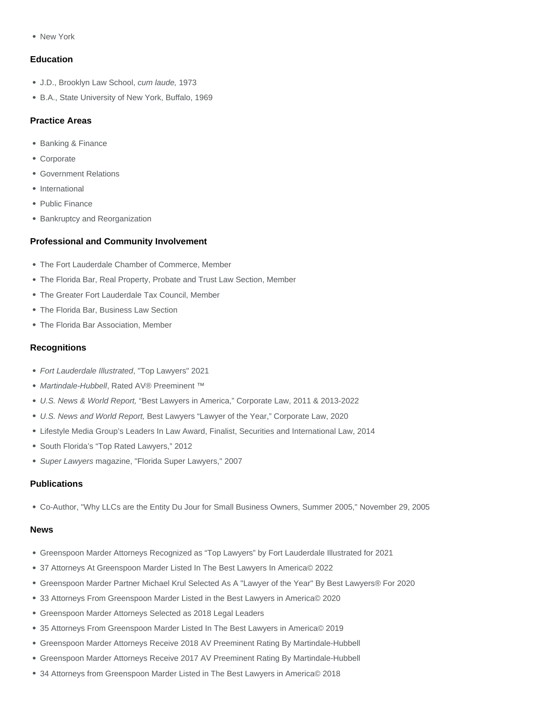New York

### **Education**

- J.D., Brooklyn Law School, cum laude, 1973
- B.A., State University of New York, Buffalo, 1969

### Practice Areas

- Banking & Finance
- Corporate
- Government Relations
- International
- Public Finance
- Bankruptcy and Reorganization

#### Professional and Community Involvement

- The Fort Lauderdale Chamber of Commerce, Member
- The Florida Bar, Real Property, Probate and Trust Law Section, Member
- The Greater Fort Lauderdale Tax Council, Member
- The Florida Bar, Business Law Section
- The Florida Bar Association, Member

#### **Recognitions**

- Fort Lauderdale Illustrated, "Top Lawyers" 2021
- Martindale-Hubbell, Rated AV® Preeminent ™
- U.S. News & World Report, "Best Lawyers in America," Corporate Law, 2011 & 2013-2022
- U.S. News and World Report, Best Lawyers "Lawyer of the Year," Corporate Law, 2020
- Lifestyle Media Group's Leaders In Law Award, Finalist, Securities and International Law, 2014
- South Florida's "Top Rated Lawyers," 2012
- Super Lawyers magazine, "Florida Super Lawyers," 2007

#### **Publications**

Co-Author, ["Why LLCs are the Entity Du Jour for Small Business Owners, Summer 2005,](https://www.gmlaw.com/news/why-llcs-are-the-entity-du-jour-for-small-business-owners-summer-2005/)" November 29, 2005

#### News

- Greenspoon Marder Attorneys Recognized as "Top Lawyers" by Fort Lauderdale Illustrated for 2021
- 37 Attorneys At Greenspoon Marder Listed In The Best Lawyers In America© 2022
- Greenspoon Marder Partner Michael Krul Selected As A "Lawyer of the Year" By Best Lawyers® For 2020
- 33 Attorneys From Greenspoon Marder Listed in the Best Lawyers in America© 2020
- Greenspoon Marder Attorneys Selected as 2018 Legal Leaders
- 35 Attorneys From Greenspoon Marder Listed In The Best Lawyers in America© 2019
- Greenspoon Marder Attorneys Receive 2018 AV Preeminent Rating By Martindale-Hubbell
- Greenspoon Marder Attorneys Receive 2017 AV Preeminent Rating By Martindale-Hubbell
- 34 Attorneys from Greenspoon Marder Listed in The Best Lawyers in America© 2018